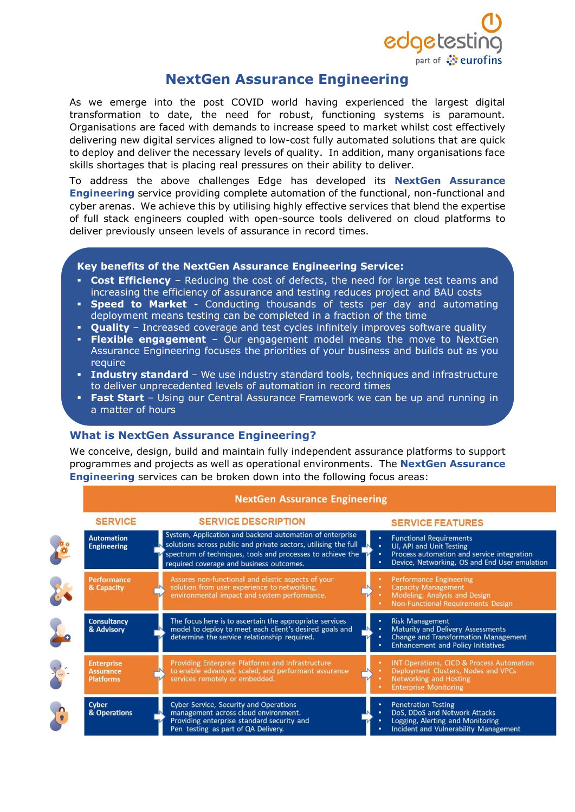

# **NextGen Assurance Engineering**

As we emerge into the post COVID world having experienced the largest digital transformation to date, the need for robust, functioning systems is paramount. Organisations are faced with demands to increase speed to market whilst cost effectively delivering new digital services aligned to low-cost fully automated solutions that are quick to deploy and deliver the necessary levels of quality. In addition, many organisations face skills shortages that is placing real pressures on their ability to deliver.

To address the above challenges Edge has developed its **NextGen Assurance Engineering** service providing complete automation of the functional, non-functional and cyber arenas. We achieve this by utilising highly effective services that blend the expertise of full stack engineers coupled with open-source tools delivered on cloud platforms to deliver previously unseen levels of assurance in record times.

# **Key benefits of the NextGen Assurance Engineering Service:**

- **Cost Efficiency** Reducing the cost of defects, the need for large test teams and increasing the efficiency of assurance and testing reduces project and BAU costs
- **Speed to Market** Conducting thousands of tests per day and automating deployment means testing can be completed in a fraction of the time
- **Ouality** Increased coverage and test cycles infinitely improves software quality
- **Flexible engagement** Our engagement model means the move to NextGen Assurance Engineering focuses the priorities of your business and builds out as you require
- **· Industry standard** We use industry standard tools, techniques and infrastructure to deliver unprecedented levels of automation in record times
- **Fast Start** Using our Central Assurance Framework we can be up and running in a matter of hours

# **What is NextGen Assurance Engineering?**

We conceive, design, build and maintain fully independent assurance platforms to support programmes and projects as well as operational environments. The **NextGen Assurance Engineering** services can be broken down into the following focus areas:

| <b>SERVICE</b>                                            | <b>SERVICE DESCRIPTION</b>                                                                                                                                                                                                            | <b>SERVICE FEATURES</b>                                                                                                                                                  |
|-----------------------------------------------------------|---------------------------------------------------------------------------------------------------------------------------------------------------------------------------------------------------------------------------------------|--------------------------------------------------------------------------------------------------------------------------------------------------------------------------|
| <b>Automation</b><br><b>Engineering</b>                   | System, Application and backend automation of enterprise<br>solutions across public and private sectors, utilising the full<br>spectrum of techniques, tools and processes to achieve the<br>required coverage and business outcomes. | <b>Functional Requirements</b><br>٠<br>UI, API and Unit Testing<br>٠<br>Process automation and service integration<br>٠<br>Device, Networking, OS and End User emulation |
| <b>Performance</b><br>& Capacity                          | Assures non-functional and elastic aspects of your<br>solution from user experience to networking,<br>environmental impact and system performance.                                                                                    | <b>Performance Engineering</b><br><b>Capacity Management</b><br>Modeling, Analysis and Design<br>Non-Functional Requirements Design                                      |
| <b>Consultancy</b><br>& Advisory                          | The focus here is to ascertain the appropriate services<br>model to deploy to meet each client's desired goals and<br>determine the service relationship required.                                                                    | <b>Risk Management</b><br>Maturity and Delivery Assessments<br>٠<br>Change and Transformation Management<br>٠<br><b>Enhancement and Policy Initiatives</b>               |
| <b>Enterprise</b><br><b>Assurance</b><br><b>Platforms</b> | Providing Enterprise Platforms and Infrastructure<br>to enable advanced, scaled, and performant assurance<br>services remotely or embedded.                                                                                           | <b>INT Operations, CICD &amp; Process Automation</b><br>Deployment Clusters, Nodes and VPCs<br><b>Networking and Hosting</b><br><b>Enterprise Monitoring</b>             |
| Cyber<br>& Operations                                     | <b>Cyber Service, Security and Operations</b><br>management across cloud environment.<br>Providing enterprise standard security and<br>Pen testing as part of QA Delivery.                                                            | <b>Penetration Testing</b><br>٠<br>DoS, DDoS and Network Attacks<br>Logging, Alerting and Monitoring<br>Incident and Vulnerability Management                            |

#### **NextGen Assurance Engineering**